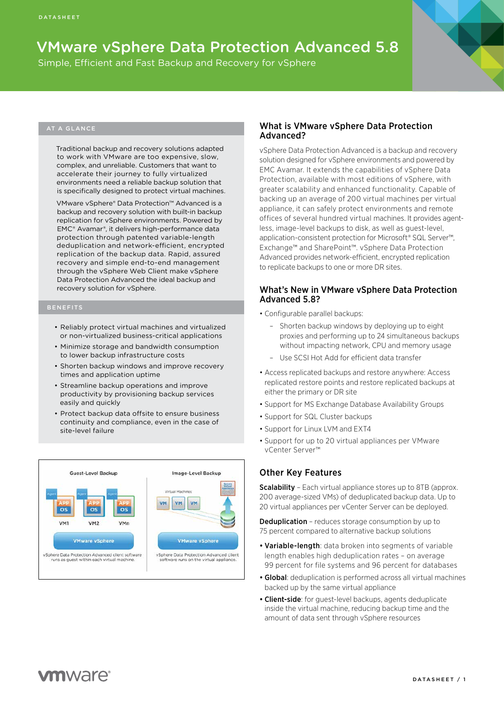# VMware vSphere Data Protection Advanced 5.8

Simple, Efficient and Fast Backup and Recovery for vSphere

#### AT A GLANCE

Traditional backup and recovery solutions adapted to work with VMware are too expensive, slow, complex, and unreliable. Customers that want to accelerate their journey to fully virtualized environments need a reliable backup solution that is specifically designed to protect virtual machines.

VMware vSphere® Data Protection™ Advanced is a backup and recovery solution with built-in backup replication for vSphere environments. Powered by EMC® Avamar®, it delivers high-performance data protection through patented variable-length deduplication and network-efficient, encrypted replication of the backup data. Rapid, assured recovery and simple end-to-end management through the vSphere Web Client make vSphere Data Protection Advanced the ideal backup and recovery solution for vSphere.

- Reliably protect virtual machines and virtualized or non-virtualized business-critical applications
- Minimize storage and bandwidth consumption to lower backup infrastructure costs
- Shorten backup windows and improve recovery times and application uptime
- Streamline backup operations and improve productivity by provisioning backup services easily and quickly
- Protect backup data offsite to ensure business continuity and compliance, even in the case of site-level failure



#### What is VMware vSphere Data Protection Advanced?

vSphere Data Protection Advanced is a backup and recovery solution designed for vSphere environments and powered by EMC Avamar. It extends the capabilities of vSphere Data Protection, available with most editions of vSphere, with greater scalability and enhanced functionality. Capable of backing up an average of 200 virtual machines per virtual appliance, it can safely protect environments and remote offices of several hundred virtual machines. It provides agentless, image-level backups to disk, as well as guest-level, application-consistent protection for Microsoft® SQL Server™ Exchange™ and SharePoint™. vSphere Data Protection Advanced provides network-efficient, encrypted replication to replicate backups to one or more DR sites.

#### What's New in VMware vSphere Data Protection Advanced 5.8?

- Configurable parallel backups:
	- Shorten backup windows by deploying up to eight proxies and performing up to 24 simultaneous backups without impacting network, CPU and memory usage
	- Use SCSI Hot Add for efficient data transfer
- Access replicated backups and restore anywhere: Access replicated restore points and restore replicated backups at either the primary or DR site
- Support for MS Exchange Database Availability Groups
- Support for SQL Cluster backups
- Support for Linux LVM and EXT4
- Support for up to 20 virtual appliances per VMware vCenter Server™

### Other Key Features

Scalability - Each virtual appliance stores up to 8TB (approx. 200 average-sized VMs) of deduplicated backup data. Up to 20 virtual appliances per vCenter Server can be deployed.

**Deduplication** - reduces storage consumption by up to 75 percent compared to alternative backup solutions

- Variable-length: data broken into segments of variable length enables high deduplication rates – on average 99 percent for file systems and 96 percent for databases
- Global: deduplication is performed across all virtual machines backed up by the same virtual appliance
- Client-side: for guest-level backups, agents deduplicate inside the virtual machine, reducing backup time and the amount of data sent through vSphere resources